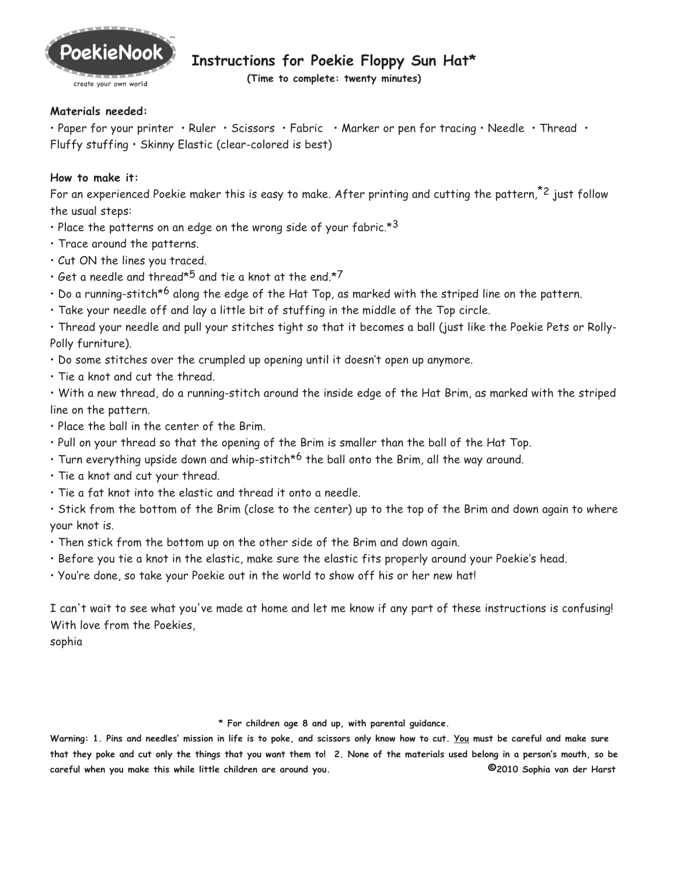

## **Instructions for Poekie Floppy Sun Hat\***

**(Time to complete: twenty minutes)**

## **Materials needed:**

• Paper for your printer • Ruler • Scissors • Fabric • Marker or pen for tracing • Needle • Thread • Fluffy stuffing • Skinny Elastic (clear-colored is best)

## **How to make it:**

For an experienced Poekie maker this is easy to make. After printing and cutting the pattern,<sup> $z$ 2</sup> just follow the usual steps:

- Place the patterns on an edge on the wrong side of your fabric. $*3$
- Trace around the patterns.
- Cut ON the lines you traced.
- $\cdot$  Get a needle and thread\*5 and tie a knot at the end.\*7
- $\cdot$  Do a running-stitch<sup>\*6</sup> along the edge of the Hat Top, as marked with the striped line on the pattern.
- Take your needle off and lay a little bit of stuffing in the middle of the Top circle.

• Thread your needle and pull your stitches tight so that it becomes a ball (just like the Poekie Pets or Rolly-Polly furniture).

- Do some stitches over the crumpled up opening until it doesn't open up anymore.
- Tie a knot and cut the thread.

• With a new thread, do a running-stitch around the inside edge of the Hat Brim, as marked with the striped line on the pattern.

- Place the ball in the center of the Brim.
- Pull on your thread so that the opening of the Brim is smaller than the ball of the Hat Top.
- Turn everything upside down and whip-stitch<sup>\*6</sup> the ball onto the Brim, all the way around.
- Tie a knot and cut your thread.
- Tie a fat knot into the elastic and thread it onto a needle.

• Stick from the bottom of the Brim (close to the center) up to the top of the Brim and down again to where your knot is.

- Then stick from the bottom up on the other side of the Brim and down again.
- Before you tie a knot in the elastic, make sure the elastic fits properly around your Poekie's head.
- You're done, so take your Poekie out in the world to show off his or her new hat!

I can't wait to see what you've made at home and let me know if any part of these instructions is confusing! With love from the Poekies,

sophia

## **\* For children age 8 and up, with parental guidance.**

**Warning: 1. Pins and needles' mission in life is to poke, and scissors only know how to cut. You must be careful and make sure that they poke and cut only the things that you want them to! 2. None of the materials used belong in a person's mouth, so be careful when you make this while little children are around you. ©2010 Sophia van der Harst**